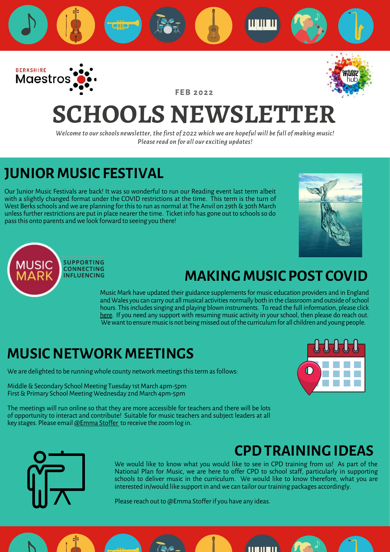<span id="page-0-0"></span>

**F E B 2 0 2 2**



# **SCHOOLS NEWSLETTER**

*Welcome to our schools newsletter, the first of 2022 which we are hopeful will be full of making music! Please read on for all our exciting updates!*

### **JUNIOR MUSIC FESTIVAL**

Our Junior Music Festivals are back! It was so wonderful to run our Reading event last term albeit with a slightly changed format under the COVID restrictions at the time. This term is the turn of West Berks schools and we are planning for this to run as normal at The Anvil on 29th & 30th March unless further restrictions are put in place nearer the time. Ticket info has gone out to schools so do pass this onto parents and we look forward to seeing you there!





### **MAKING MUSIC POST COVID**

Music Mark have updated their guidance supplements for music education providers and in England and Wales you can carry out all musical activities normally both in the classroom and outside of school hours. This includes singing and playing blown instruments. To read the full information, please click [here.](https://www.musicmark.org.uk/resources/music-unlocked-guidance-for-schools-and-music-providers/) If you need any support with resuming music activity in your school, then please do reach out. We want to ensure music is not being missed out of the curriculum for all children and young people.

### **MUSIC NETWORK MEETINGS**

We are delighted to be running whole county network meetings this term as follows:

Middle & Secondary School Meeting Tuesday 1st March 4pm-5pm First & Primary School Meeting Wednesday 2nd March 4pm-5pm

The meetings will run online so that they are more accessible for teachers and there will be lots of opportunity to interact and contribute! Suitable for music teachers and subject leaders at all key stages. Please email [@Emma Stoffer](#page-0-0) to receive the zoom log in.



### **CPD TRAINING IDEAS**



We would like to know what you would like to see in CPD training from us! As part of the National Plan for Music, we are here to offer CPD to school staff, particularly in supporting schools to deliver music in the curriculum. We would like to know therefore, what you are interested in/would like support in and we can tailor our training packages accordingly.

il Eliteri

Please reach out to @Emma Stoffer if you have any ideas.